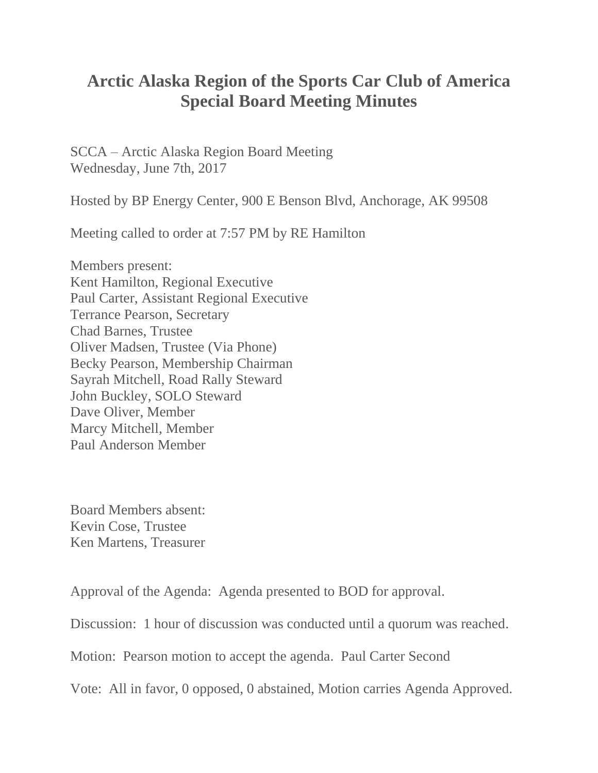## **Arctic Alaska Region of the Sports Car Club of America Special Board Meeting Minutes**

SCCA – Arctic Alaska Region Board Meeting Wednesday, June 7th, 2017

Hosted by BP Energy Center, 900 E Benson Blvd, Anchorage, AK 99508

Meeting called to order at 7:57 PM by RE Hamilton

Members present: Kent Hamilton, Regional Executive Paul Carter, Assistant Regional Executive Terrance Pearson, Secretary Chad Barnes, Trustee Oliver Madsen, Trustee (Via Phone) Becky Pearson, Membership Chairman Sayrah Mitchell, Road Rally Steward John Buckley, SOLO Steward Dave Oliver, Member Marcy Mitchell, Member Paul Anderson Member

Board Members absent: Kevin Cose, Trustee Ken Martens, Treasurer

Approval of the Agenda: Agenda presented to BOD for approval.

Discussion: 1 hour of discussion was conducted until a quorum was reached.

Motion: Pearson motion to accept the agenda. Paul Carter Second

Vote: All in favor, 0 opposed, 0 abstained, Motion carries Agenda Approved.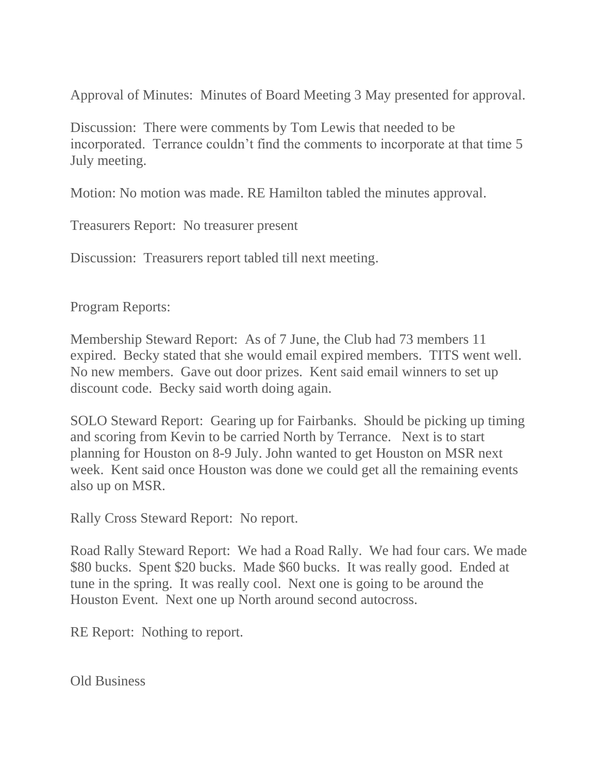Approval of Minutes: Minutes of Board Meeting 3 May presented for approval.

Discussion: There were comments by Tom Lewis that needed to be incorporated. Terrance couldn't find the comments to incorporate at that time 5 July meeting.

Motion: No motion was made. RE Hamilton tabled the minutes approval.

Treasurers Report: No treasurer present

Discussion: Treasurers report tabled till next meeting.

Program Reports:

Membership Steward Report: As of 7 June, the Club had 73 members 11 expired. Becky stated that she would email expired members. TITS went well. No new members. Gave out door prizes. Kent said email winners to set up discount code. Becky said worth doing again.

SOLO Steward Report: Gearing up for Fairbanks. Should be picking up timing and scoring from Kevin to be carried North by Terrance. Next is to start planning for Houston on 8-9 July. John wanted to get Houston on MSR next week. Kent said once Houston was done we could get all the remaining events also up on MSR.

Rally Cross Steward Report: No report.

Road Rally Steward Report: We had a Road Rally. We had four cars. We made \$80 bucks. Spent \$20 bucks. Made \$60 bucks. It was really good. Ended at tune in the spring. It was really cool. Next one is going to be around the Houston Event. Next one up North around second autocross.

RE Report: Nothing to report.

Old Business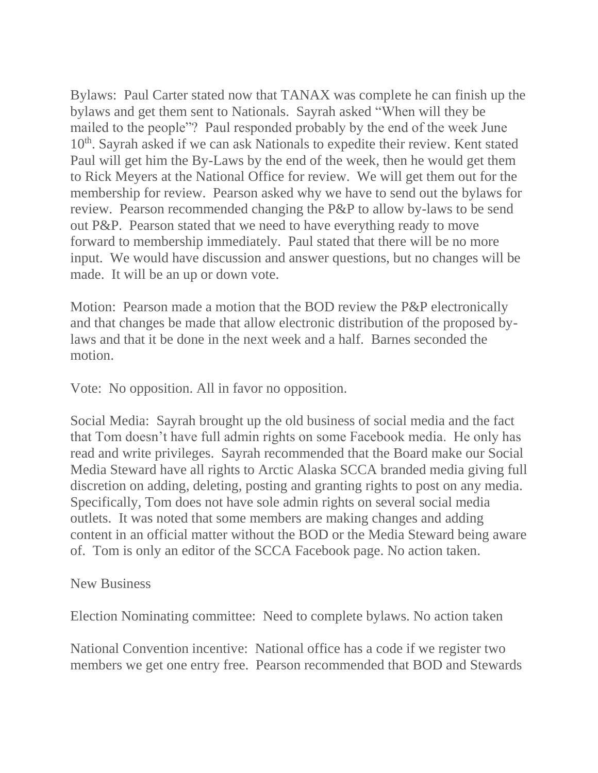Bylaws: Paul Carter stated now that TANAX was complete he can finish up the bylaws and get them sent to Nationals. Sayrah asked "When will they be mailed to the people"? Paul responded probably by the end of the week June 10th. Sayrah asked if we can ask Nationals to expedite their review. Kent stated Paul will get him the By-Laws by the end of the week, then he would get them to Rick Meyers at the National Office for review. We will get them out for the membership for review. Pearson asked why we have to send out the bylaws for review. Pearson recommended changing the P&P to allow by-laws to be send out P&P. Pearson stated that we need to have everything ready to move forward to membership immediately. Paul stated that there will be no more input. We would have discussion and answer questions, but no changes will be made. It will be an up or down vote.

Motion: Pearson made a motion that the BOD review the P&P electronically and that changes be made that allow electronic distribution of the proposed bylaws and that it be done in the next week and a half. Barnes seconded the motion.

Vote: No opposition. All in favor no opposition.

Social Media: Sayrah brought up the old business of social media and the fact that Tom doesn't have full admin rights on some Facebook media. He only has read and write privileges. Sayrah recommended that the Board make our Social Media Steward have all rights to Arctic Alaska SCCA branded media giving full discretion on adding, deleting, posting and granting rights to post on any media. Specifically, Tom does not have sole admin rights on several social media outlets. It was noted that some members are making changes and adding content in an official matter without the BOD or the Media Steward being aware of. Tom is only an editor of the SCCA Facebook page. No action taken.

New Business

Election Nominating committee: Need to complete bylaws. No action taken

National Convention incentive: National office has a code if we register two members we get one entry free. Pearson recommended that BOD and Stewards